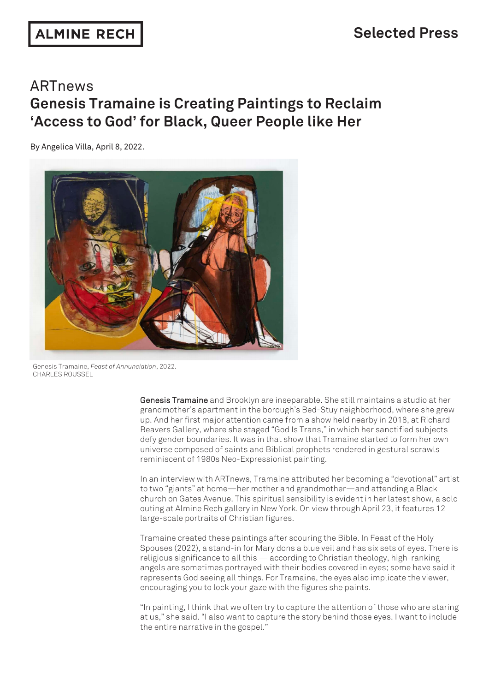# ARTnews **Genesis Tramaine is Creating Paintings to Reclaim 'Access to God' for Black, Queer People like Her**

By Angelica Villa, April 8, 2022.



Genesis Tramaine, *Feast of Annunciation*, 2022. CHARLES ROUSSEL

> Genesis Tramaine and Brooklyn are inseparable. She still maintains a studio at her grandmother's apartment in the borough's Bed-Stuy neighborhood, where she grew up. And her first major attention came from a show held nearby in 2018, at Richard Beavers Gallery, where she staged "God Is Trans," in which her sanctified subjects defy gender boundaries. It was in that show that Tramaine started to form her own universe composed of saints and Biblical prophets rendered in gestural scrawls reminiscent of 1980s Neo-Expressionist painting.

In an interview with ARTnews, Tramaine attributed her becoming a "devotional" artist to two "giants" at home—her mother and grandmother—and attending a Black church on Gates Avenue. This spiritual sensibility is evident in her latest show, a solo outing at Almine Rech gallery in New York. On view through April 23, it features 12 large-scale portraits of Christian figures.

Tramaine created these paintings after scouring the Bible. In Feast of the Holy Spouses (2022), a stand-in for Mary dons a blue veil and has six sets of eyes. There is religious significance to all this — according to Christian theology, high-ranking angels are sometimes portrayed with their bodies covered in eyes; some have said it represents God seeing all things. For Tramaine, the eyes also implicate the viewer, encouraging you to lock your gaze with the figures she paints.

"In painting, I think that we often try to capture the attention of those who are staring at us," she said. "I also want to capture the story behind those eyes. I want to include the entire narrative in the gospel."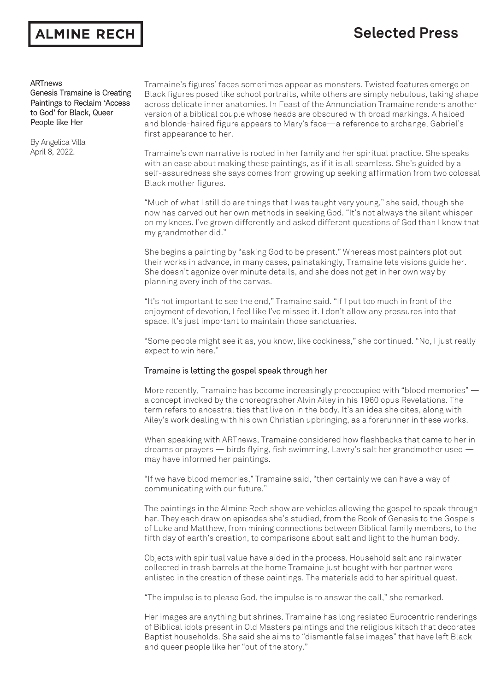### ALMINE RECH

## **Selected Press**

### ARTnews

Genesis Tramaine is Creating Paintings to Reclaim 'Access to God' for Black, Queer People like Her

By Angelica Villa April 8, 2022.

Tramaine's figures' faces sometimes appear as monsters. Twisted features emerge on Black figures posed like school portraits, while others are simply nebulous, taking shape across delicate inner anatomies. In Feast of the Annunciation Tramaine renders another version of a biblical couple whose heads are obscured with broad markings. A haloed and blonde-haired figure appears to Mary's face—a reference to archangel Gabriel's first appearance to her.

Tramaine's own narrative is rooted in her family and her spiritual practice. She speaks with an ease about making these paintings, as if it is all seamless. She's guided by a self-assuredness she says comes from growing up seeking affirmation from two colossal Black mother figures.

"Much of what I still do are things that I was taught very young," she said, though she now has carved out her own methods in seeking God. "It's not always the silent whisper on my knees. I've grown differently and asked different questions of God than I know that my grandmother did."

She begins a painting by "asking God to be present." Whereas most painters plot out their works in advance, in many cases, painstakingly, Tramaine lets visions guide her. She doesn't agonize over minute details, and she does not get in her own way by planning every inch of the canvas.

"It's not important to see the end," Tramaine said. "If I put too much in front of the enjoyment of devotion, I feel like I've missed it. I don't allow any pressures into that space. It's just important to maintain those sanctuaries.

"Some people might see it as, you know, like cockiness," she continued. "No, I just really expect to win here."

### Tramaine is letting the gospel speak through her

More recently, Tramaine has become increasingly preoccupied with "blood memories" a concept invoked by the choreographer Alvin Ailey in his 1960 opus Revelations. The term refers to ancestral ties that live on in the body. It's an idea she cites, along with Ailey's work dealing with his own Christian upbringing, as a forerunner in these works.

When speaking with ARTnews, Tramaine considered how flashbacks that came to her in dreams or prayers — birds flying, fish swimming, Lawry's salt her grandmother used may have informed her paintings.

"If we have blood memories," Tramaine said, "then certainly we can have a way of communicating with our future."

The paintings in the Almine Rech show are vehicles allowing the gospel to speak through her. They each draw on episodes she's studied, from the Book of Genesis to the Gospels of Luke and Matthew, from mining connections between Biblical family members, to the fifth day of earth's creation, to comparisons about salt and light to the human body.

Objects with spiritual value have aided in the process. Household salt and rainwater collected in trash barrels at the home Tramaine just bought with her partner were enlisted in the creation of these paintings. The materials add to her spiritual quest.

"The impulse is to please God, the impulse is to answer the call," she remarked.

Her images are anything but shrines. Tramaine has long resisted Eurocentric renderings of Biblical idols present in Old Masters paintings and the religious kitsch that decorates Baptist households. She said she aims to "dismantle false images" that have left Black and queer people like her "out of the story."